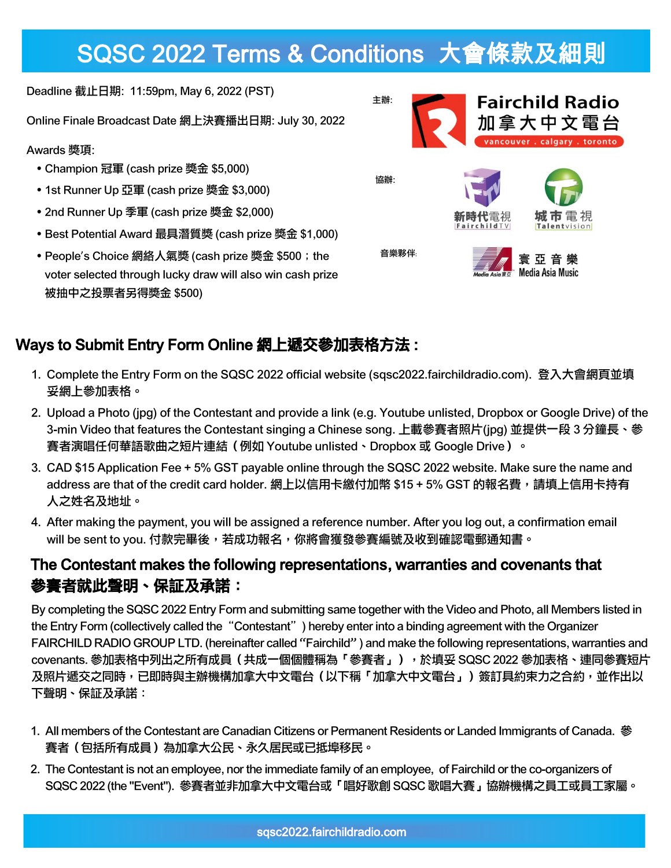# SQSC 2022 Terms & Conditions 大會條款及細則

Deadline 截止日期: 11:59pm, May 6, 2022 (PST)

Online Finale Broadcast Date 網上決賽播出日期: July 30, 2022

#### Awards 獎項:

- Champion 冠軍 (cash prize 獎金 \$5,000)
- 1st Runner Up 亞軍 (cash prize 獎金 \$3,000)
- 2nd Runner Up 季軍 (cash prize 獎金 \$2,000)
- Best Potential Award 最具潛質獎 (cash prize 獎金 \$1,000)
- People's Choice 網絡人氣獎 (cash prize 獎金 \$500; the voter selected through lucky draw will also win cash prize 被抽中之投票者另得獎金 \$500)



### Ways to Submit Entry Form Online 網上遞交參加表格方法 :

- 1. Complete the Entry Form on the SQSC 2022 official website (sqsc2022.fairchildradio.com). 登入大會網頁並填 妥網上參加表格。
- 2. Upload a Photo (jpg) of the Contestant and provide a link (e.g. Youtube unlisted, Dropbox or Google Drive) of the 3-min Video that features the Contestant singing a Chinese song. 上載參賽者照片(jpg) 並提供一段 3 分鐘長、參 賽者演唱任何華語歌曲之短片連結(例如 Youtube unlisted、Dropbox 或 Google Drive)。
- 3. CAD \$15 Application Fee + 5% GST payable online through the SQSC 2022 website. Make sure the name and address are that of the credit card holder. 網上以信用卡繳付加幣 \$15 + 5% GST 的報名費,請填上信用卡持有 人之姓名及地址。
- 4. After making the payment, you will be assigned a reference number. After you log out, a confirmation email will be sent to you. 付款完畢後,若成功報名,你將會獲發參賽編號及收到確認電郵通知書。

### The Contestant makes the following representations, warranties and covenants that 參賽者就此聲明、保証及承諾:

By completing the SQSC 2022 Entry Form and submitting same together with the Video and Photo, all Members listed in the Entry Form (collectively called the "Contestant") hereby enter into a binding agreement with the Organizer FAIRCHILD RADIO GROUP LTD. (hereinafter called "Fairchild" ) and make the following representations, warranties and covenants. 參加表格中列出之所有成員(共成一個個體稱為「參賽者」),於填妥 SQSC 2022 參加表格、連同參賽短片 及照片遞交之同時,已即時與主辦機構加拿大中文電台(以下稱「加拿大中文電台」)簽訂具約束力之合約,並作出以 下聲明、保証及承諾:

- 1. All members of the Contestant are Canadian Citizens or Permanent Residents or Landed Immigrants of Canada. 參 賽者(包括所有成員)為加拿大公民、永久居民或已抵埠移民。
- 2. The Contestant is not an employee, nor the immediate family of an employee, of Fairchild or the co-organizers of SQSC 2022 (the "Event"). 參賽者並非加拿大中文電台或「唱好歌創 SQSC 歌唱大賽」協辦機構之員工或員工家屬。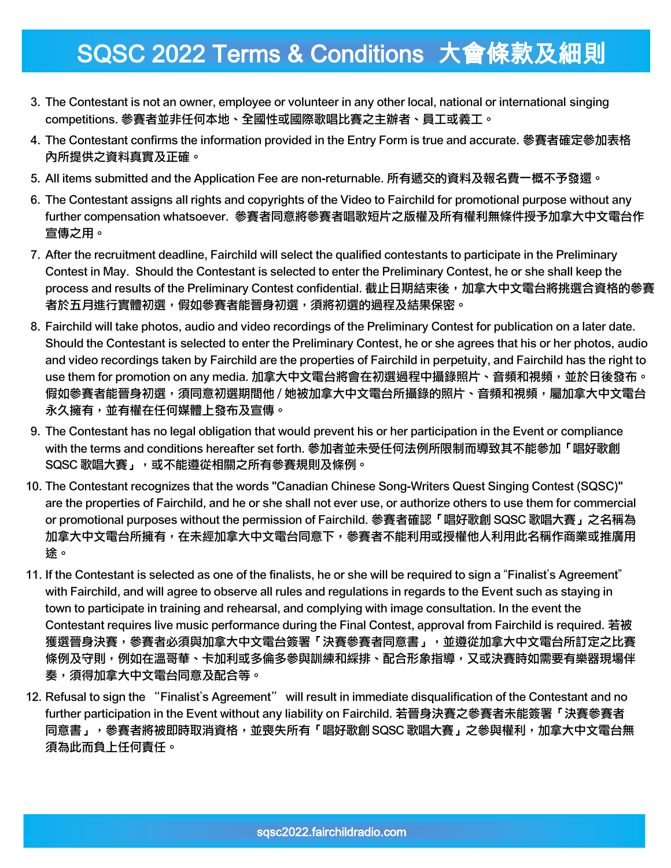## SQSC 2022 Terms & Conditions 大會條款及細則

- 3. The Contestant is not an owner, employee or volunteer in any other local, national or international singing competitions. 參賽者並非任何本地、全國性或國際歌唱比賽之主辦者、員工或義工。
- 4. The Contestant confirms the information provided in the Entry Form is true and accurate. 參賽者確定參加表格 內所提供之資料真實及正確。
- 5. All items submitted and the Application Fee are non-returnable. 所有遞交的資料及報名費一概不予發還。
- 6. The Contestant assigns all rights and copyrights of the Video to Fairchild for promotional purpose without any further compensation whatsoever. 參賽者同意將參賽者唱歌短片之版權及所有權利無條件授予加拿大中文電台作 宣傳之用。
- 7. After the recruitment deadline, Fairchild will select the qualified contestants to participate in the Preliminary Contest in May. Should the Contestant is selected to enter the Preliminary Contest, he or she shall keep the process and results of the Preliminary Contest confidential. 截止日期結束後, 加拿大中文電台將挑選合資格的參賽 者於五月進行實體初選,假如參賽者能晉身初選,須將初選的過程及結果保密。
- 8. Fairchild will take photos, audio and video recordings of the Preliminary Contest for publication on a later date. Should the Contestant is selected to enter the Preliminary Contest, he or she agrees that his or her photos, audio and video recordings taken by Fairchild are the properties of Fairchild in perpetuity, and Fairchild has the right to use them for promotion on any media. 加拿大中文電台將會在初選過程中攝錄照片、音頻和視頻,並於日後發布。 假如參賽者能晉身初選,須同意初選期間他 / 她被加拿大中文電台所攝錄的照片、音頻和視頻,屬加拿大中文電台 永久擁有,並有權在任何媒體上發布及宣傳。
- 9. The Contestant has no legal obligation that would prevent his or her participation in the Event or compliance with the terms and conditions hereafter set forth. 參加者並未受任何法例所限制而導致其不能參加「唱好歌創 SQSC 歌唱大賽」,或不能遵從相關之所有參賽規則及條例。
- 10. The Contestant recognizes that the words "Canadian Chinese Song-Writers Quest Singing Contest (SQSC)" are the properties of Fairchild, and he or she shall not ever use, or authorize others to use them for commercial or promotional purposes without the permission of Fairchild. 參賽者確認「唱好歌創 SQSC 歌唱大賽」之名稱為 加拿大中文電台所擁有,在未經加拿大中文電台同意下,參賽者不能利用或授權他人利用此名稱作商業或推廣用 途。
- 11. If the Contestant is selected as one of the finalists, he or she will be required to sign a "Finalist's Agreement" with Fairchild, and will agree to observe all rules and regulations in regards to the Event such as staying in town to participate in training and rehearsal, and complying with image consultation. In the event the Contestant requires live music performance during the Final Contest, approval from Fairchild is required. 若被 獲選晉身決賽,參賽者必須與加拿大中文電台簽署「決賽參賽者同意書」,並遵從加拿大中文電台所訂定之比賽 條例及守則,例如在溫哥華、卡加利或多倫多參與訓練和綵排、配合形象指導,又或決賽時如需要有樂器現場伴 奏,須得加拿大中文電台同意及配合等。
- 12. Refusal to sign the "Finalist's Agreement" will result in immediate disqualification of the Contestant and no further participation in the Event without any liability on Fairchild. 若晉身決賽之參賽者未能簽署「決賽參賽者 同意書」,參賽者將被即時取消資格,並喪失所有「唱好歌創 SQSC 歌唱大賽」之參與權利,加拿大中文電台無 須為此而負上任何責任。